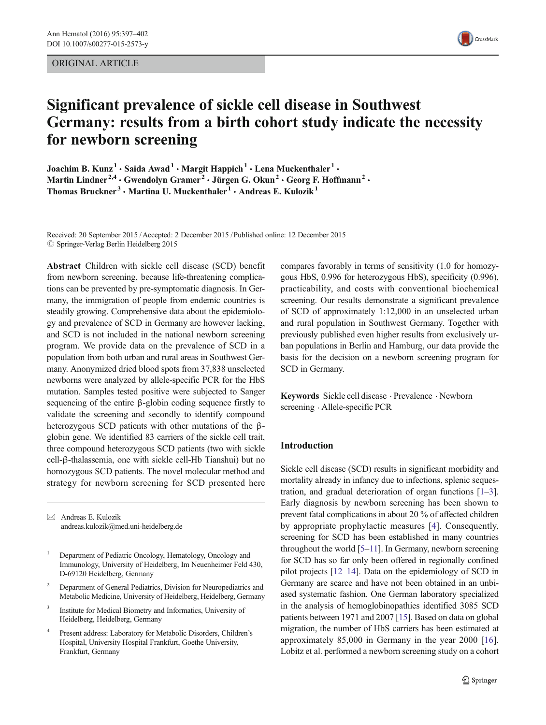ORIGINAL ARTICLE



# Significant prevalence of sickle cell disease in Southwest Germany: results from a birth cohort study indicate the necessity for newborn screening

Joachim B. Kunz<sup>1</sup> · Saida Awad<sup>1</sup> · Margit Happich<sup>1</sup> · Lena Muckenthaler<sup>1</sup> · Martin Lindner<sup>2,4</sup> · Gwendolyn Gramer<sup>2</sup> · Jürgen G. Okun<sup>2</sup> · Georg F. Hoffmann<sup>2</sup> · Thomas Bruckner<sup>3</sup> • Martina U. Muckenthaler<sup>1</sup> • Andreas E. Kulozik<sup>1</sup>

Received: 20 September 2015 /Accepted: 2 December 2015 /Published online: 12 December 2015  $\oslash$  Springer-Verlag Berlin Heidelberg 2015

Abstract Children with sickle cell disease (SCD) benefit from newborn screening, because life-threatening complications can be prevented by pre-symptomatic diagnosis. In Germany, the immigration of people from endemic countries is steadily growing. Comprehensive data about the epidemiology and prevalence of SCD in Germany are however lacking, and SCD is not included in the national newborn screening program. We provide data on the prevalence of SCD in a population from both urban and rural areas in Southwest Germany. Anonymized dried blood spots from 37,838 unselected newborns were analyzed by allele-specific PCR for the HbS mutation. Samples tested positive were subjected to Sanger sequencing of the entire β-globin coding sequence firstly to validate the screening and secondly to identify compound heterozygous SCD patients with other mutations of the βglobin gene. We identified 83 carriers of the sickle cell trait, three compound heterozygous SCD patients (two with sickle cell-β-thalassemia, one with sickle cell-Hb Tianshui) but no homozygous SCD patients. The novel molecular method and strategy for newborn screening for SCD presented here

 $\boxtimes$  Andreas E. Kulozik andreas.kulozik@med.uni-heidelberg.de

- <sup>1</sup> Department of Pediatric Oncology, Hematology, Oncology and Immunology, University of Heidelberg, Im Neuenheimer Feld 430, D-69120 Heidelberg, Germany
- <sup>2</sup> Department of General Pediatrics, Division for Neuropediatrics and Metabolic Medicine, University of Heidelberg, Heidelberg, Germany
- Institute for Medical Biometry and Informatics, University of Heidelberg, Heidelberg, Germany
- Present address: Laboratory for Metabolic Disorders, Children's Hospital, University Hospital Frankfurt, Goethe University, Frankfurt, Germany

compares favorably in terms of sensitivity (1.0 for homozygous HbS, 0.996 for heterozygous HbS), specificity (0.996), practicability, and costs with conventional biochemical screening. Our results demonstrate a significant prevalence of SCD of approximately 1:12,000 in an unselected urban and rural population in Southwest Germany. Together with previously published even higher results from exclusively urban populations in Berlin and Hamburg, our data provide the basis for the decision on a newborn screening program for SCD in Germany.

Keywords Sickle cell disease . Prevalence . Newborn screening . Allele-specific PCR

# Introduction

Sickle cell disease (SCD) results in significant morbidity and mortality already in infancy due to infections, splenic sequestration, and gradual deterioration of organ functions [[1](#page-4-0)–[3\]](#page-4-0). Early diagnosis by newborn screening has been shown to prevent fatal complications in about 20 % of affected children by appropriate prophylactic measures [[4](#page-4-0)]. Consequently, screening for SCD has been established in many countries throughout the world [\[5](#page-4-0)–[11](#page-5-0)]. In Germany, newborn screening for SCD has so far only been offered in regionally confined pilot projects [[12](#page-5-0)–[14](#page-5-0)]. Data on the epidemiology of SCD in Germany are scarce and have not been obtained in an unbiased systematic fashion. One German laboratory specialized in the analysis of hemoglobinopathies identified 3085 SCD patients between 1971 and 2007 [\[15\]](#page-5-0). Based on data on global migration, the number of HbS carriers has been estimated at approximately 85,000 in Germany in the year 2000 [\[16](#page-5-0)]. Lobitz et al. performed a newborn screening study on a cohort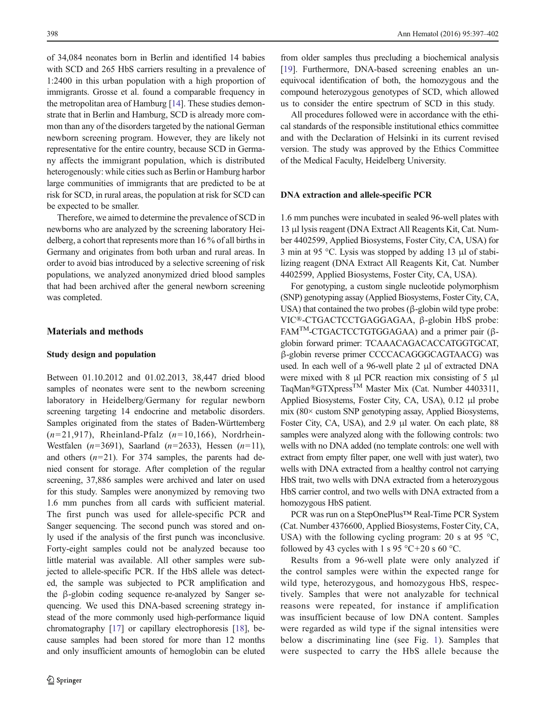of 34,084 neonates born in Berlin and identified 14 babies with SCD and 265 HbS carriers resulting in a prevalence of 1:2400 in this urban population with a high proportion of immigrants. Grosse et al. found a comparable frequency in the metropolitan area of Hamburg [\[14](#page-5-0)]. These studies demonstrate that in Berlin and Hamburg, SCD is already more common than any of the disorders targeted by the national German newborn screening program. However, they are likely not representative for the entire country, because SCD in Germany affects the immigrant population, which is distributed heterogenously: while cities such as Berlin or Hamburg harbor large communities of immigrants that are predicted to be at risk for SCD, in rural areas, the population at risk for SCD can be expected to be smaller.

Therefore, we aimed to determine the prevalence of SCD in newborns who are analyzed by the screening laboratory Heidelberg, a cohort that represents more than 16 % of all births in Germany and originates from both urban and rural areas. In order to avoid bias introduced by a selective screening of risk populations, we analyzed anonymized dried blood samples that had been archived after the general newborn screening was completed.

# Materials and methods

## Study design and population

Between 01.10.2012 and 01.02.2013, 38,447 dried blood samples of neonates were sent to the newborn screening laboratory in Heidelberg/Germany for regular newborn screening targeting 14 endocrine and metabolic disorders. Samples originated from the states of Baden-Württemberg  $(n=21,917)$ , Rheinland-Pfalz  $(n=10,166)$ , Nordrhein-Westfalen  $(n=3691)$ , Saarland  $(n=2633)$ , Hessen  $(n=11)$ , and others  $(n=21)$ . For 374 samples, the parents had denied consent for storage. After completion of the regular screening, 37,886 samples were archived and later on used for this study. Samples were anonymized by removing two 1.6 mm punches from all cards with sufficient material. The first punch was used for allele-specific PCR and Sanger sequencing. The second punch was stored and only used if the analysis of the first punch was inconclusive. Forty-eight samples could not be analyzed because too little material was available. All other samples were subjected to allele-specific PCR. If the HbS allele was detected, the sample was subjected to PCR amplification and the β-globin coding sequence re-analyzed by Sanger sequencing. We used this DNA-based screening strategy instead of the more commonly used high-performance liquid chromatography [\[17](#page-5-0)] or capillary electrophoresis [[18\]](#page-5-0), because samples had been stored for more than 12 months and only insufficient amounts of hemoglobin can be eluted

from older samples thus precluding a biochemical analysis [\[19](#page-5-0)]. Furthermore, DNA-based screening enables an unequivocal identification of both, the homozygous and the compound heterozygous genotypes of SCD, which allowed us to consider the entire spectrum of SCD in this study.

All procedures followed were in accordance with the ethical standards of the responsible institutional ethics committee and with the Declaration of Helsinki in its current revised version. The study was approved by the Ethics Committee of the Medical Faculty, Heidelberg University.

#### DNA extraction and allele-specific PCR

1.6 mm punches were incubated in sealed 96-well plates with 13 μl lysis reagent (DNA Extract All Reagents Kit, Cat. Number 4402599, Applied Biosystems, Foster City, CA, USA) for 3 min at 95 °C. Lysis was stopped by adding 13 μl of stabilizing reagent (DNA Extract All Reagents Kit, Cat. Number 4402599, Applied Biosystems, Foster City, CA, USA).

For genotyping, a custom single nucleotide polymorphism (SNP) genotyping assay (Applied Biosystems, Foster City, CA, USA) that contained the two probes ( $\beta$ -globin wild type probe: VIC®-CTGACTCCTGAGGAGAA, β-globin HbS probe: FAMTM-CTGACTCCTGTGGAGAA) and a primer pair (βglobin forward primer: TCAAACAGACACCATGGTGCAT, β-globin reverse primer CCCCACAGGGCAGTAACG) was used. In each well of a 96-well plate 2 μl of extracted DNA were mixed with 8 μl PCR reaction mix consisting of 5 μl TaqMan<sup>®</sup>GTXpress<sup>TM</sup> Master Mix (Cat. Number 4403311, Applied Biosystems, Foster City, CA, USA), 0.12 μl probe mix (80× custom SNP genotyping assay, Applied Biosystems, Foster City, CA, USA), and 2.9 μl water. On each plate, 88 samples were analyzed along with the following controls: two wells with no DNA added (no template controls: one well with extract from empty filter paper, one well with just water), two wells with DNA extracted from a healthy control not carrying HbS trait, two wells with DNA extracted from a heterozygous HbS carrier control, and two wells with DNA extracted from a homozygous HbS patient.

PCR was run on a StepOnePlus™ Real-Time PCR System (Cat. Number 4376600, Applied Biosystems, Foster City, CA, USA) with the following cycling program: 20 s at 95  $^{\circ}$ C, followed by 43 cycles with 1 s 95 °C+20 s 60 °C.

Results from a 96-well plate were only analyzed if the control samples were within the expected range for wild type, heterozygous, and homozygous HbS, respectively. Samples that were not analyzable for technical reasons were repeated, for instance if amplification was insufficient because of low DNA content. Samples were regarded as wild type if the signal intensities were below a discriminating line (see Fig. [1](#page-2-0)). Samples that were suspected to carry the HbS allele because the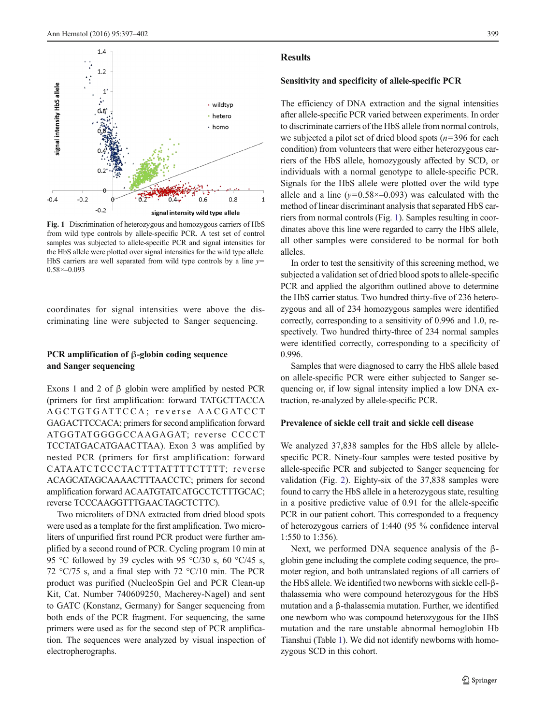<span id="page-2-0"></span>

Fig. 1 Discrimination of heterozygous and homozygous carriers of HbS from wild type controls by allele-specific PCR. A test set of control samples was subjected to allele-specific PCR and signal intensities for the HbS allele were plotted over signal intensities for the wild type allele. HbS carriers are well separated from wild type controls by a line  $y=$  $0.58\times-0.093$ 

coordinates for signal intensities were above the discriminating line were subjected to Sanger sequencing.

# PCR amplification of β-globin coding sequence and Sanger sequencing

Exons 1 and 2 of β globin were amplified by nested PCR (primers for first amplification: forward TATGCTTACCA AGCTGTGATTCCA; reverse AACGATCCT GAGACTTCCACA; primers for second amplification forward ATGGTATGGGGCCAAGAGAT; reverse CCCCT TCCTATGACATGAACTTAA). Exon 3 was amplified by nested PCR (primers for first amplification: forward CATAATCTCCCTACTTTATTTTCTTTT; reverse ACAGCATAGCAAAACTTTAACCTC; primers for second amplification forward ACAATGTATCATGCCTCTTTGCAC; reverse TCCCAAGGTTTGAACTAGCTCTTC).

Two microliters of DNA extracted from dried blood spots were used as a template for the first amplification. Two microliters of unpurified first round PCR product were further amplified by a second round of PCR. Cycling program 10 min at 95 °C followed by 39 cycles with 95 °C/30 s, 60 °C/45 s, 72  $\degree$ C/75 s, and a final step with 72  $\degree$ C/10 min. The PCR product was purified (NucleoSpin Gel and PCR Clean-up Kit, Cat. Number 740609250, Macherey-Nagel) and sent to GATC (Konstanz, Germany) for Sanger sequencing from both ends of the PCR fragment. For sequencing, the same primers were used as for the second step of PCR amplification. The sequences were analyzed by visual inspection of electropherographs.

#### **Results**

#### Sensitivity and specificity of allele-specific PCR

The efficiency of DNA extraction and the signal intensities after allele-specific PCR varied between experiments. In order to discriminate carriers of the HbS allele from normal controls, we subjected a pilot set of dried blood spots  $(n=396$  for each condition) from volunteers that were either heterozygous carriers of the HbS allele, homozygously affected by SCD, or individuals with a normal genotype to allele-specific PCR. Signals for the HbS allele were plotted over the wild type allele and a line  $(y=0.58\times0.093)$  was calculated with the method of linear discriminant analysis that separated HbS carriers from normal controls (Fig. 1). Samples resulting in coordinates above this line were regarded to carry the HbS allele, all other samples were considered to be normal for both alleles.

In order to test the sensitivity of this screening method, we subjected a validation set of dried blood spots to allele-specific PCR and applied the algorithm outlined above to determine the HbS carrier status. Two hundred thirty-five of 236 heterozygous and all of 234 homozygous samples were identified correctly, corresponding to a sensitivity of 0.996 and 1.0, respectively. Two hundred thirty-three of 234 normal samples were identified correctly, corresponding to a specificity of 0.996.

Samples that were diagnosed to carry the HbS allele based on allele-specific PCR were either subjected to Sanger sequencing or, if low signal intensity implied a low DNA extraction, re-analyzed by allele-specific PCR.

#### Prevalence of sickle cell trait and sickle cell disease

We analyzed 37,838 samples for the HbS allele by allelespecific PCR. Ninety-four samples were tested positive by allele-specific PCR and subjected to Sanger sequencing for validation (Fig. [2\)](#page-3-0). Eighty-six of the 37,838 samples were found to carry the HbS allele in a heterozygous state, resulting in a positive predictive value of 0.91 for the allele-specific PCR in our patient cohort. This corresponded to a frequency of heterozygous carriers of 1:440 (95 % confidence interval 1:550 to 1:356).

Next, we performed DNA sequence analysis of the βglobin gene including the complete coding sequence, the promoter region, and both untranslated regions of all carriers of the HbS allele. We identified two newborns with sickle cell-βthalassemia who were compound heterozygous for the HbS mutation and a β-thalassemia mutation. Further, we identified one newborn who was compound heterozygous for the HbS mutation and the rare unstable abnormal hemoglobin Hb Tianshui (Table [1\)](#page-3-0). We did not identify newborns with homozygous SCD in this cohort.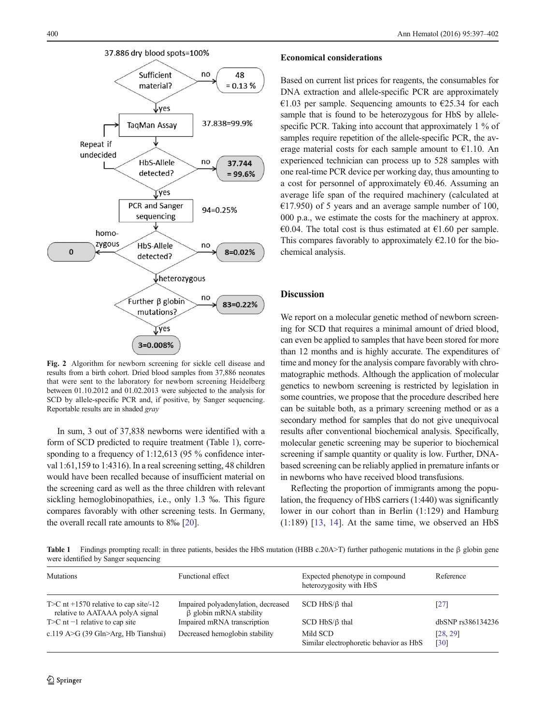<span id="page-3-0"></span>

Fig. 2 Algorithm for newborn screening for sickle cell disease and results from a birth cohort. Dried blood samples from 37,886 neonates that were sent to the laboratory for newborn screening Heidelberg between 01.10.2012 and 01.02.2013 were subjected to the analysis for SCD by allele-specific PCR and, if positive, by Sanger sequencing. Reportable results are in shaded gray

In sum, 3 out of 37,838 newborns were identified with a form of SCD predicted to require treatment (Table 1), corresponding to a frequency of 1:12,613 (95 % confidence interval 1:61,159 to 1:4316). In a real screening setting, 48 children would have been recalled because of insufficient material on the screening card as well as the three children with relevant sickling hemoglobinopathies, i.e., only 1.3 ‰. This figure compares favorably with other screening tests. In Germany, the overall recall rate amounts to 8‰ [\[20\]](#page-5-0).

#### Economical considerations

Based on current list prices for reagents, the consumables for DNA extraction and allele-specific PCR are approximately €1.03 per sample. Sequencing amounts to €25.34 for each sample that is found to be heterozygous for HbS by allelespecific PCR. Taking into account that approximately 1 % of samples require repetition of the allele-specific PCR, the average material costs for each sample amount to  $E1.10$ . An experienced technician can process up to 528 samples with one real-time PCR device per working day, thus amounting to a cost for personnel of approximately  $€0.46$ . Assuming an average life span of the required machinery (calculated at  $E$ 17.950) of 5 years and an average sample number of 100, 000 p.a., we estimate the costs for the machinery at approx.  $\epsilon$ 0.04. The total cost is thus estimated at  $\epsilon$ 1.60 per sample. This compares favorably to approximately  $E2.10$  for the biochemical analysis.

## Discussion

We report on a molecular genetic method of newborn screening for SCD that requires a minimal amount of dried blood, can even be applied to samples that have been stored for more than 12 months and is highly accurate. The expenditures of time and money for the analysis compare favorably with chromatographic methods. Although the application of molecular genetics to newborn screening is restricted by legislation in some countries, we propose that the procedure described here can be suitable both, as a primary screening method or as a secondary method for samples that do not give unequivocal results after conventional biochemical analysis. Specifically, molecular genetic screening may be superior to biochemical screening if sample quantity or quality is low. Further, DNAbased screening can be reliably applied in premature infants or in newborns who have received blood transfusions.

Reflecting the proportion of immigrants among the population, the frequency of HbS carriers (1:440) was significantly lower in our cohort than in Berlin (1:129) and Hamburg  $(1:189)$  [[13,](#page-5-0) [14](#page-5-0)]. At the same time, we observed an HbS

**Table 1** Findings prompting recall: in three patients, besides the HbS mutation (HBB c.20A>T) further pathogenic mutations in the β globin gene were identified by Sanger sequencing

| <b>Mutations</b>                                                              | Functional effect                                                    | Expected phenotype in compound<br>heterozygosity with HbS | Reference         |
|-------------------------------------------------------------------------------|----------------------------------------------------------------------|-----------------------------------------------------------|-------------------|
| T $\geq$ nt +1570 relative to cap site/-12<br>relative to AATAAA polyA signal | Impaired polyadenylation, decreased<br>$\beta$ globin mRNA stability | $SCD$ HbS/ $\beta$ thal                                   | [27]              |
| $T>C$ nt $-1$ relative to cap site                                            | Impaired mRNA transcription                                          | $SCD$ HbS/ $\beta$ thal                                   | dbSNP rs386134236 |
| c.119 $A > G$ (39 $G \ln \geq Arg$ , Hb Tianshui)                             | Decreased hemoglobin stability                                       | Mild SCD<br>Similar electrophoretic behavior as HbS       | [28, 29]<br>[30]  |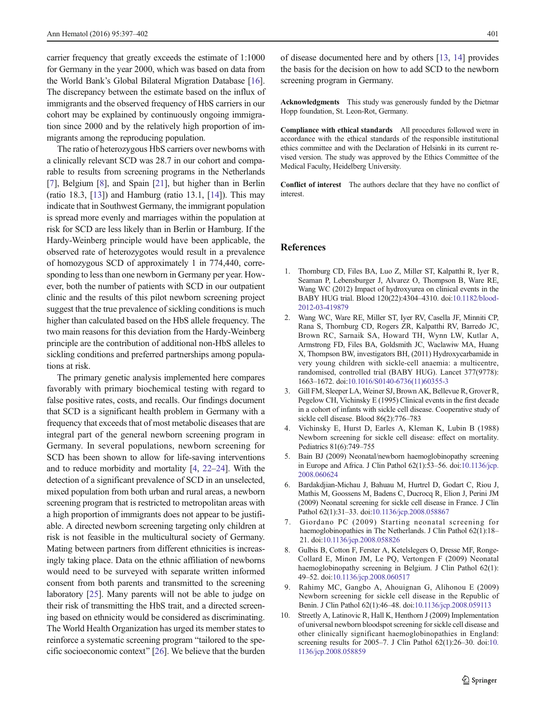<span id="page-4-0"></span>carrier frequency that greatly exceeds the estimate of 1:1000 for Germany in the year 2000, which was based on data from the World Bank's Global Bilateral Migration Database [[16\]](#page-5-0). The discrepancy between the estimate based on the influx of immigrants and the observed frequency of HbS carriers in our cohort may be explained by continuously ongoing immigration since 2000 and by the relatively high proportion of immigrants among the reproducing population.

The ratio of heterozygous HbS carriers over newborns with a clinically relevant SCD was 28.7 in our cohort and comparable to results from screening programs in the Netherlands [7], Belgium [8], and Spain [[21](#page-5-0)], but higher than in Berlin (ratio 18.3, [\[13](#page-5-0)]) and Hamburg (ratio 13.1, [\[14](#page-5-0)]). This may indicate that in Southwest Germany, the immigrant population is spread more evenly and marriages within the population at risk for SCD are less likely than in Berlin or Hamburg. If the Hardy-Weinberg principle would have been applicable, the observed rate of heterozygotes would result in a prevalence of homozygous SCD of approximately 1 in 774,440, corresponding to less than one newborn in Germany per year. However, both the number of patients with SCD in our outpatient clinic and the results of this pilot newborn screening project suggest that the true prevalence of sickling conditions is much higher than calculated based on the HbS allele frequency. The two main reasons for this deviation from the Hardy-Weinberg principle are the contribution of additional non-HbS alleles to sickling conditions and preferred partnerships among populations at risk.

The primary genetic analysis implemented here compares favorably with primary biochemical testing with regard to false positive rates, costs, and recalls. Our findings document that SCD is a significant health problem in Germany with a frequency that exceeds that of most metabolic diseases that are integral part of the general newborn screening program in Germany. In several populations, newborn screening for SCD has been shown to allow for life-saving interventions and to reduce morbidity and mortality [4, [22](#page-5-0)–[24\]](#page-5-0). With the detection of a significant prevalence of SCD in an unselected, mixed population from both urban and rural areas, a newborn screening program that is restricted to metropolitan areas with a high proportion of immigrants does not appear to be justifiable. A directed newborn screening targeting only children at risk is not feasible in the multicultural society of Germany. Mating between partners from different ethnicities is increasingly taking place. Data on the ethnic affiliation of newborns would need to be surveyed with separate written informed consent from both parents and transmitted to the screening laboratory [[25](#page-5-0)]. Many parents will not be able to judge on their risk of transmitting the HbS trait, and a directed screening based on ethnicity would be considered as discriminating. The World Health Organization has urged its member states to reinforce a systematic screening program "tailored to the specific socioeconomic context^ [\[26\]](#page-5-0). We believe that the burden of disease documented here and by others [\[13,](#page-5-0) [14](#page-5-0)] provides the basis for the decision on how to add SCD to the newborn screening program in Germany.

Acknowledgments This study was generously funded by the Dietmar Hopp foundation, St. Leon-Rot, Germany.

Compliance with ethical standards All procedures followed were in accordance with the ethical standards of the responsible institutional ethics committee and with the Declaration of Helsinki in its current revised version. The study was approved by the Ethics Committee of the Medical Faculty, Heidelberg University.

Conflict of interest The authors declare that they have no conflict of interest.

### References

- 1. Thornburg CD, Files BA, Luo Z, Miller ST, Kalpatthi R, Iyer R, Seaman P, Lebensburger J, Alvarez O, Thompson B, Ware RE, Wang WC (2012) Impact of hydroxyurea on clinical events in the BABY HUG trial. Blood 120(22):4304–4310. doi[:10.1182/blood-](http://dx.doi.org/10.1182/blood-2012-03-419879)[2012-03-419879](http://dx.doi.org/10.1182/blood-2012-03-419879)
- 2. Wang WC, Ware RE, Miller ST, Iyer RV, Casella JF, Minniti CP, Rana S, Thornburg CD, Rogers ZR, Kalpatthi RV, Barredo JC, Brown RC, Sarnaik SA, Howard TH, Wynn LW, Kutlar A, Armstrong FD, Files BA, Goldsmith JC, Waclawiw MA, Huang X, Thompson BW, investigators BH, (2011) Hydroxycarbamide in very young children with sickle-cell anaemia: a multicentre, randomised, controlled trial (BABY HUG). Lancet 377(9778): 1663–1672. doi:[10.1016/S0140-6736\(11\)60355-3](http://dx.doi.org/10.1016/S0140-6736(11)60355-3)
- 3. Gill FM, Sleeper LA, Weiner SJ, Brown AK, Bellevue R, Grover R, Pegelow CH, Vichinsky E (1995) Clinical events in the first decade in a cohort of infants with sickle cell disease. Cooperative study of sickle cell disease. Blood 86(2):776–783
- 4. Vichinsky E, Hurst D, Earles A, Kleman K, Lubin B (1988) Newborn screening for sickle cell disease: effect on mortality. Pediatrics 81(6):749–755
- 5. Bain BJ (2009) Neonatal/newborn haemoglobinopathy screening in Europe and Africa. J Clin Pathol 62(1):53–56. doi[:10.1136/jcp.](http://dx.doi.org/10.1136/jcp.2008.060624) [2008.060624](http://dx.doi.org/10.1136/jcp.2008.060624)
- 6. Bardakdjian-Michau J, Bahuau M, Hurtrel D, Godart C, Riou J, Mathis M, Goossens M, Badens C, Ducrocq R, Elion J, Perini JM (2009) Neonatal screening for sickle cell disease in France. J Clin Pathol 62(1):31–33. doi[:10.1136/jcp.2008.058867](http://dx.doi.org/10.1136/jcp.2008.058867)
- 7. Giordano PC (2009) Starting neonatal screening for haemoglobinopathies in The Netherlands. J Clin Pathol 62(1):18– 21. doi[:10.1136/jcp.2008.058826](http://dx.doi.org/10.1136/jcp.2008.058826)
- 8. Gulbis B, Cotton F, Ferster A, Ketelslegers O, Dresse MF, Ronge-Collard E, Minon JM, Le PQ, Vertongen F (2009) Neonatal haemoglobinopathy screening in Belgium. J Clin Pathol 62(1): 49–52. doi[:10.1136/jcp.2008.060517](http://dx.doi.org/10.1136/jcp.2008.060517)
- 9. Rahimy MC, Gangbo A, Ahouignan G, Alihonou E (2009) Newborn screening for sickle cell disease in the Republic of Benin. J Clin Pathol 62(1):46–48. doi[:10.1136/jcp.2008.059113](http://dx.doi.org/10.1136/jcp.2008.059113)
- 10. Streetly A, Latinovic R, Hall K, Henthorn J (2009) Implementation of universal newborn bloodspot screening for sickle cell disease and other clinically significant haemoglobinopathies in England: screening results for  $2005-7$ . J Clin Pathol  $62(1):26-30$ . doi:[10.](http://dx.doi.org/10.1136/jcp.2008.058859) [1136/jcp.2008.058859](http://dx.doi.org/10.1136/jcp.2008.058859)